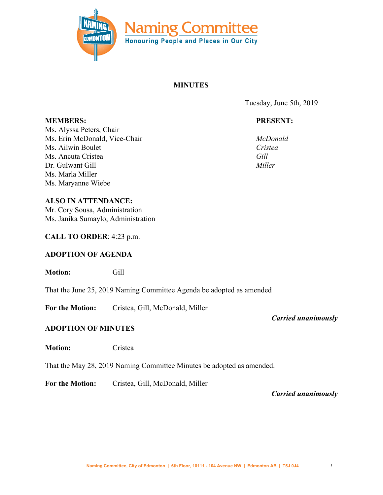

# **MINUTES**

Tuesday, June 5th, 2019

# **PRESENT:**

*McDonald Cristea Gill Miller*

**MEMBERS:** Ms. Alyssa Peters, Chair Ms. Erin McDonald, Vice-Chair Ms. Ailwin Boulet Ms. Ancuta Cristea Dr. Gulwant Gill Ms. Marla Miller Ms. Maryanne Wiebe

**ALSO IN ATTENDANCE:** Mr. Cory Sousa, Administration Ms. Janika Sumaylo, Administration

## **CALL TO ORDER**: 4:23 p.m.

## **ADOPTION OF AGENDA**

**Motion:** Gill

That the June 25, 2019 Naming Committee Agenda be adopted as amended

**For the Motion:** Cristea, Gill, McDonald, Miller

# **ADOPTION OF MINUTES**

**Motion:** Cristea

That the May 28, 2019 Naming Committee Minutes be adopted as amended.

**For the Motion:** Cristea, Gill, McDonald, Miller

*Carried unanimously*

*Carried unanimously*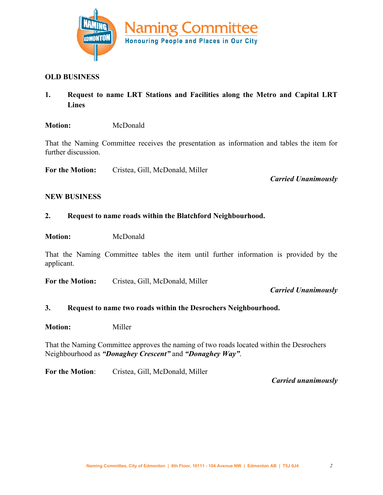

### **OLD BUSINESS**

**1. Request to name LRT Stations and Facilities along the Metro and Capital LRT Lines**

#### **Motion:** McDonald

That the Naming Committee receives the presentation as information and tables the item for further discussion.

**For the Motion:** Cristea, Gill, McDonald, Miller

*Carried Unanimously*

#### **NEW BUSINESS**

### **2. Request to name roads within the Blatchford Neighbourhood.**

**Motion:** McDonald

That the Naming Committee tables the item until further information is provided by the applicant.

**For the Motion:** Cristea, Gill, McDonald, Miller

### *Carried Unanimously*

### **3. Request to name two roads within the Desrochers Neighbourhood.**

**Motion:** Miller

That the Naming Committee approves the naming of two roads located within the Desrochers Neighbourhood as *"Donaghey Crescent"* and *"Donaghey Way"*.

For the Motion: Cristea, Gill, McDonald, Miller

*Carried unanimously*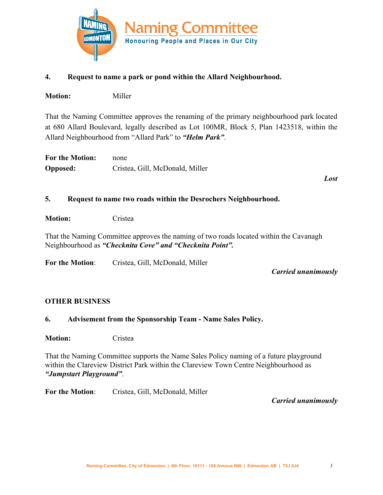

## **4. Request to name a park or pond within the Allard Neighbourhood.**

**Motion:** Miller

That the Naming Committee approves the renaming of the primary neighbourhood park located at 680 Allard Boulevard, legally described as Lot 100MR, Block 5, Plan 1423518, within the Allard Neighbourhood from "Allard Park" to *"Helm Park"*.

| <b>For the Motion:</b> | none                            |
|------------------------|---------------------------------|
| <b>Opposed:</b>        | Cristea, Gill, McDonald, Miller |

*Lost*

## **5. Request to name two roads within the Desrochers Neighbourhood.**

**Motion:** Cristea

That the Naming Committee approves the naming of two roads located within the Cavanagh Neighbourhood as *"Checknita Cove" and "Checknita Point".*

For the Motion: Cristea, Gill, McDonald, Miller

*Carried unanimously*

## **OTHER BUSINESS**

## **6. Advisement from the Sponsorship Team - Name Sales Policy.**

**Motion:** Cristea

That the Naming Committee supports the Name Sales Policy naming of a future playground within the Clareview District Park within the Clareview Town Centre Neighbourhood as *"Jumpstart Playground"*.

For the Motion: Cristea, Gill, McDonald, Miller

*Carried unanimously*